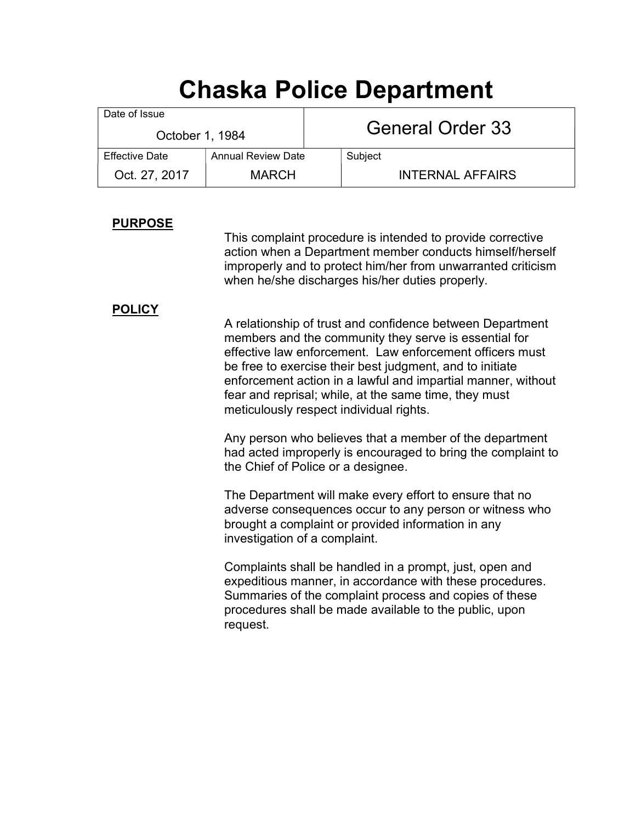# Chaska Police Department

| Date of Issue         |                           |  | <b>General Order 33</b> |  |
|-----------------------|---------------------------|--|-------------------------|--|
| October 1, 1984       |                           |  |                         |  |
| <b>Effective Date</b> | <b>Annual Review Date</b> |  | Subject                 |  |
| Oct. 27, 2017         | <b>MARCH</b>              |  | <b>INTERNAL AFFAIRS</b> |  |

## PURPOSE

 This complaint procedure is intended to provide corrective action when a Department member conducts himself/herself improperly and to protect him/her from unwarranted criticism when he/she discharges his/her duties properly.

## **POLICY**

 A relationship of trust and confidence between Department members and the community they serve is essential for effective law enforcement. Law enforcement officers must be free to exercise their best judgment, and to initiate enforcement action in a lawful and impartial manner, without fear and reprisal; while, at the same time, they must meticulously respect individual rights.

 Any person who believes that a member of the department had acted improperly is encouraged to bring the complaint to the Chief of Police or a designee.

 The Department will make every effort to ensure that no adverse consequences occur to any person or witness who brought a complaint or provided information in any investigation of a complaint.

 Complaints shall be handled in a prompt, just, open and expeditious manner, in accordance with these procedures. Summaries of the complaint process and copies of these procedures shall be made available to the public, upon request.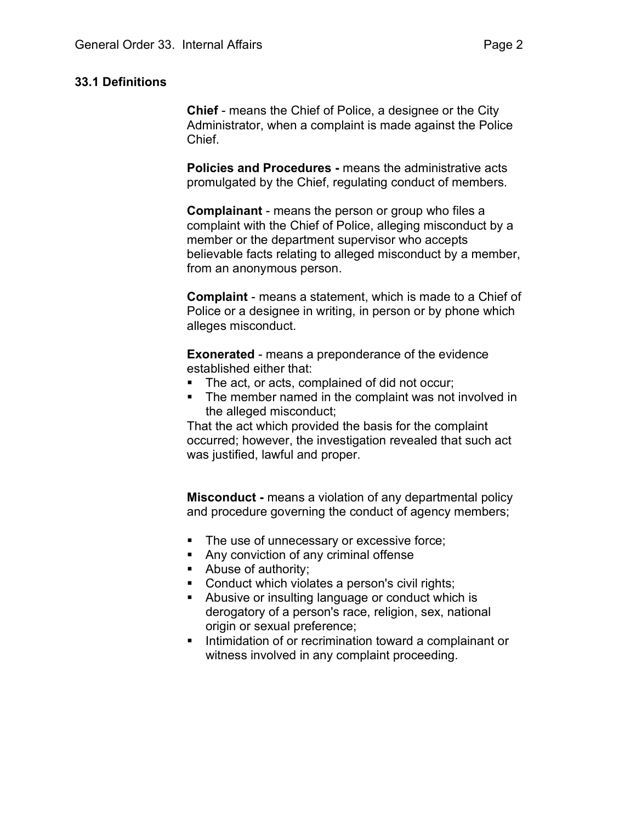## 33.1 Definitions

Chief - means the Chief of Police, a designee or the City Administrator, when a complaint is made against the Police Chief.

Policies and Procedures - means the administrative acts promulgated by the Chief, regulating conduct of members.

Complainant - means the person or group who files a complaint with the Chief of Police, alleging misconduct by a member or the department supervisor who accepts believable facts relating to alleged misconduct by a member, from an anonymous person.

Complaint - means a statement, which is made to a Chief of Police or a designee in writing, in person or by phone which alleges misconduct.

Exonerated - means a preponderance of the evidence established either that:

- The act, or acts, complained of did not occur;
- The member named in the complaint was not involved in the alleged misconduct;

That the act which provided the basis for the complaint occurred; however, the investigation revealed that such act was justified, lawful and proper.

Misconduct - means a violation of any departmental policy and procedure governing the conduct of agency members;

- **The use of unnecessary or excessive force;**
- Any conviction of any criminal offense
- Abuse of authority;
- **Conduct which violates a person's civil rights;**
- Abusive or insulting language or conduct which is derogatory of a person's race, religion, sex, national origin or sexual preference;
- **Intimidation of or recrimination toward a complainant or** witness involved in any complaint proceeding.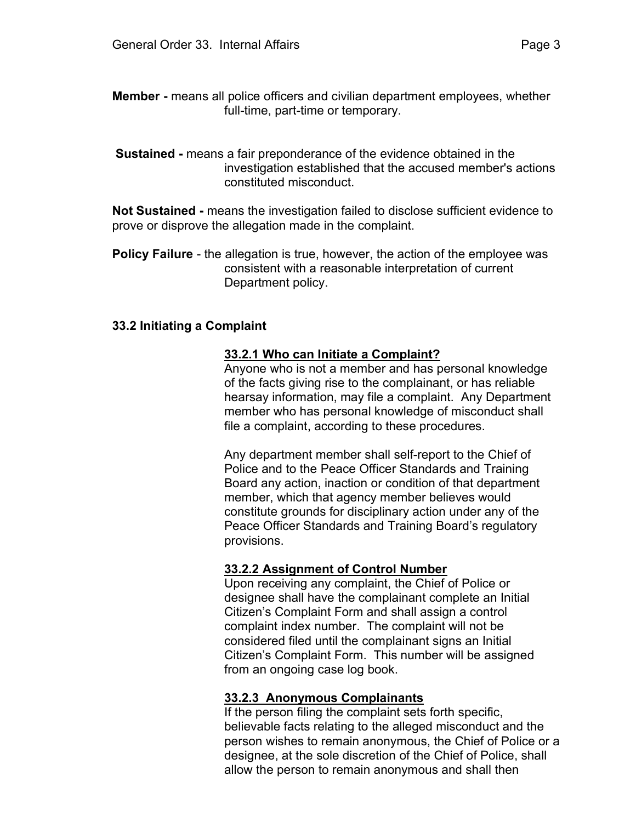Sustained - means a fair preponderance of the evidence obtained in the investigation established that the accused member's actions constituted misconduct.

Not Sustained - means the investigation failed to disclose sufficient evidence to prove or disprove the allegation made in the complaint.

Policy Failure - the allegation is true, however, the action of the employee was consistent with a reasonable interpretation of current Department policy.

#### 33.2 Initiating a Complaint

#### 33.2.1 Who can Initiate a Complaint?

Anyone who is not a member and has personal knowledge of the facts giving rise to the complainant, or has reliable hearsay information, may file a complaint. Any Department member who has personal knowledge of misconduct shall file a complaint, according to these procedures.

 Any department member shall self-report to the Chief of Police and to the Peace Officer Standards and Training Board any action, inaction or condition of that department member, which that agency member believes would constitute grounds for disciplinary action under any of the Peace Officer Standards and Training Board's regulatory provisions.

#### 33.2.2 Assignment of Control Number

Upon receiving any complaint, the Chief of Police or designee shall have the complainant complete an Initial Citizen's Complaint Form and shall assign a control complaint index number. The complaint will not be considered filed until the complainant signs an Initial Citizen's Complaint Form. This number will be assigned from an ongoing case log book.

#### 33.2.3 Anonymous Complainants

If the person filing the complaint sets forth specific, believable facts relating to the alleged misconduct and the person wishes to remain anonymous, the Chief of Police or a designee, at the sole discretion of the Chief of Police, shall allow the person to remain anonymous and shall then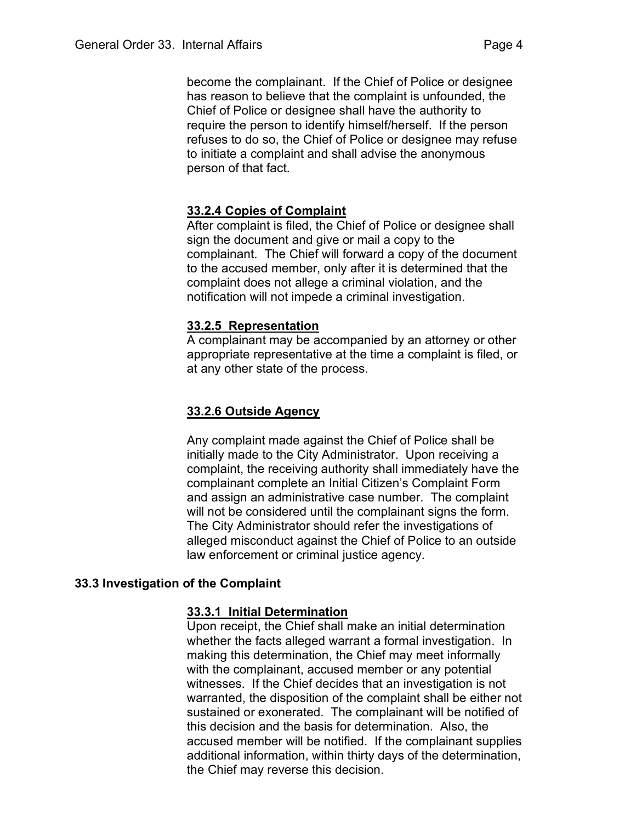become the complainant. If the Chief of Police or designee has reason to believe that the complaint is unfounded, the Chief of Police or designee shall have the authority to require the person to identify himself/herself. If the person refuses to do so, the Chief of Police or designee may refuse to initiate a complaint and shall advise the anonymous person of that fact.

## 33.2.4 Copies of Complaint

After complaint is filed, the Chief of Police or designee shall sign the document and give or mail a copy to the complainant. The Chief will forward a copy of the document to the accused member, only after it is determined that the complaint does not allege a criminal violation, and the notification will not impede a criminal investigation.

## 33.2.5 Representation

A complainant may be accompanied by an attorney or other appropriate representative at the time a complaint is filed, or at any other state of the process.

## 33.2.6 Outside Agency

 Any complaint made against the Chief of Police shall be initially made to the City Administrator. Upon receiving a complaint, the receiving authority shall immediately have the complainant complete an Initial Citizen's Complaint Form and assign an administrative case number. The complaint will not be considered until the complainant signs the form. The City Administrator should refer the investigations of alleged misconduct against the Chief of Police to an outside law enforcement or criminal justice agency.

## 33.3 Investigation of the Complaint

## 33.3.1 Initial Determination

Upon receipt, the Chief shall make an initial determination whether the facts alleged warrant a formal investigation. In making this determination, the Chief may meet informally with the complainant, accused member or any potential witnesses. If the Chief decides that an investigation is not warranted, the disposition of the complaint shall be either not sustained or exonerated. The complainant will be notified of this decision and the basis for determination. Also, the accused member will be notified. If the complainant supplies additional information, within thirty days of the determination, the Chief may reverse this decision.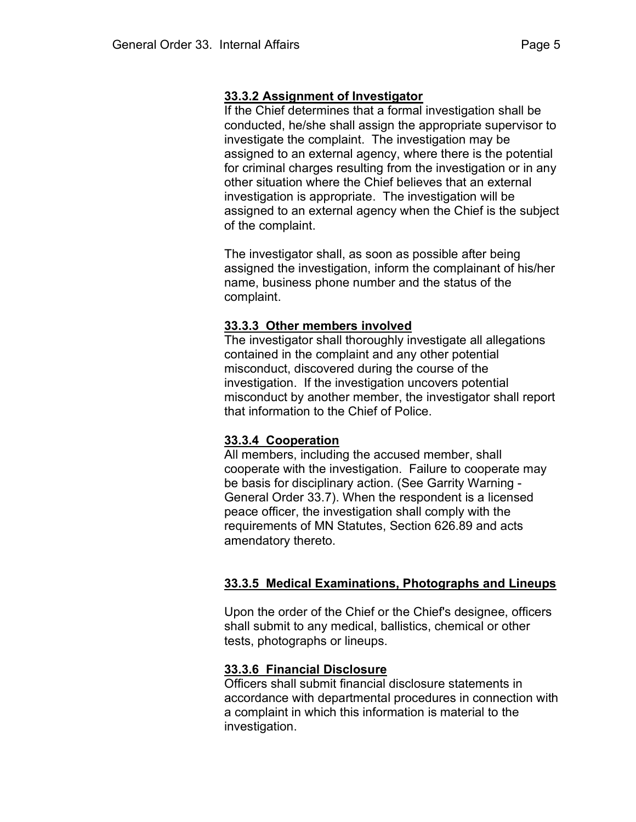# 33.3.2 Assignment of Investigator

 If the Chief determines that a formal investigation shall be conducted, he/she shall assign the appropriate supervisor to investigate the complaint. The investigation may be assigned to an external agency, where there is the potential for criminal charges resulting from the investigation or in any other situation where the Chief believes that an external investigation is appropriate. The investigation will be assigned to an external agency when the Chief is the subject of the complaint.

 The investigator shall, as soon as possible after being assigned the investigation, inform the complainant of his/her name, business phone number and the status of the complaint.

## 33.3.3 Other members involved

The investigator shall thoroughly investigate all allegations contained in the complaint and any other potential misconduct, discovered during the course of the investigation. If the investigation uncovers potential misconduct by another member, the investigator shall report that information to the Chief of Police.

## 33.3.4 Cooperation

All members, including the accused member, shall cooperate with the investigation. Failure to cooperate may be basis for disciplinary action. (See Garrity Warning - General Order 33.7). When the respondent is a licensed peace officer, the investigation shall comply with the requirements of MN Statutes, Section 626.89 and acts amendatory thereto.

# 33.3.5 Medical Examinations, Photographs and Lineups

 Upon the order of the Chief or the Chief's designee, officers shall submit to any medical, ballistics, chemical or other tests, photographs or lineups.

## 33.3.6 Financial Disclosure

 Officers shall submit financial disclosure statements in accordance with departmental procedures in connection with a complaint in which this information is material to the investigation.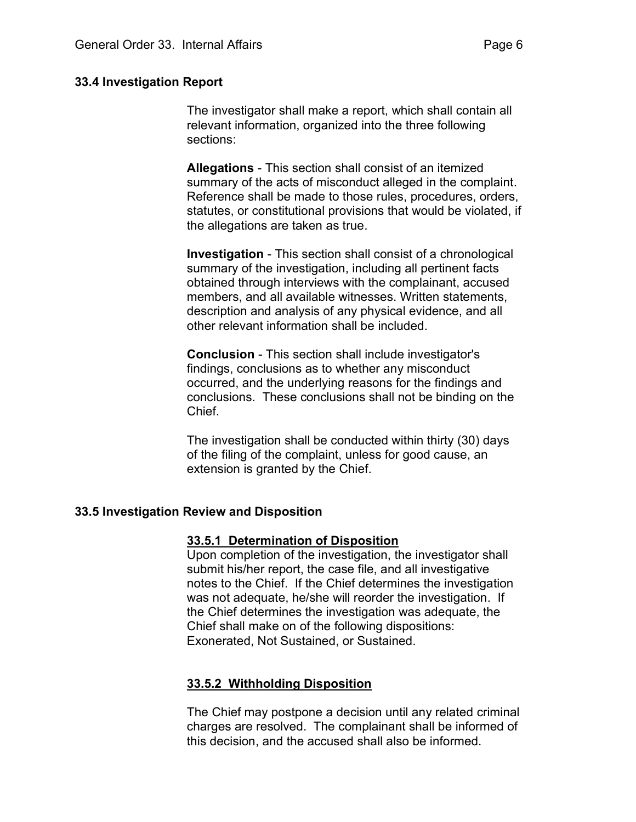#### 33.4 Investigation Report

 The investigator shall make a report, which shall contain all relevant information, organized into the three following sections:

Allegations - This section shall consist of an itemized summary of the acts of misconduct alleged in the complaint. Reference shall be made to those rules, procedures, orders, statutes, or constitutional provisions that would be violated, if the allegations are taken as true.

Investigation - This section shall consist of a chronological summary of the investigation, including all pertinent facts obtained through interviews with the complainant, accused members, and all available witnesses. Written statements, description and analysis of any physical evidence, and all other relevant information shall be included.

Conclusion - This section shall include investigator's findings, conclusions as to whether any misconduct occurred, and the underlying reasons for the findings and conclusions. These conclusions shall not be binding on the Chief.

 The investigation shall be conducted within thirty (30) days of the filing of the complaint, unless for good cause, an extension is granted by the Chief.

## 33.5 Investigation Review and Disposition

#### 33.5.1 Determination of Disposition

Upon completion of the investigation, the investigator shall submit his/her report, the case file, and all investigative notes to the Chief. If the Chief determines the investigation was not adequate, he/she will reorder the investigation. If the Chief determines the investigation was adequate, the Chief shall make on of the following dispositions: Exonerated, Not Sustained, or Sustained.

## 33.5.2 Withholding Disposition

The Chief may postpone a decision until any related criminal charges are resolved. The complainant shall be informed of this decision, and the accused shall also be informed.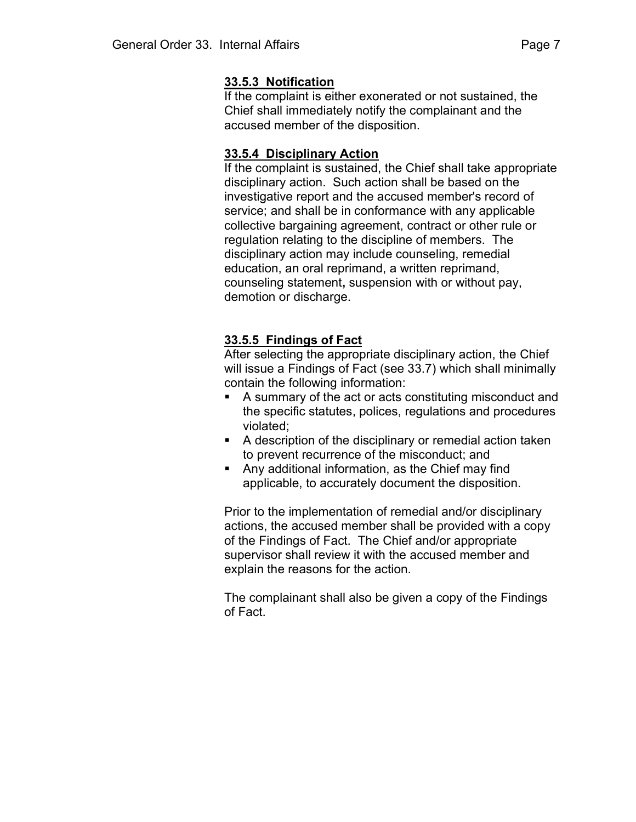## 33.5.3 Notification

If the complaint is either exonerated or not sustained, the Chief shall immediately notify the complainant and the accused member of the disposition.

## 33.5.4 Disciplinary Action

If the complaint is sustained, the Chief shall take appropriate disciplinary action. Such action shall be based on the investigative report and the accused member's record of service; and shall be in conformance with any applicable collective bargaining agreement, contract or other rule or regulation relating to the discipline of members. The disciplinary action may include counseling, remedial education, an oral reprimand, a written reprimand, counseling statement, suspension with or without pay, demotion or discharge.

## 33.5.5 Findings of Fact

After selecting the appropriate disciplinary action, the Chief will issue a Findings of Fact (see 33.7) which shall minimally contain the following information:

- A summary of the act or acts constituting misconduct and the specific statutes, polices, regulations and procedures violated;
- A description of the disciplinary or remedial action taken to prevent recurrence of the misconduct; and
- Any additional information, as the Chief may find applicable, to accurately document the disposition.

 Prior to the implementation of remedial and/or disciplinary actions, the accused member shall be provided with a copy of the Findings of Fact. The Chief and/or appropriate supervisor shall review it with the accused member and explain the reasons for the action.

 The complainant shall also be given a copy of the Findings of Fact.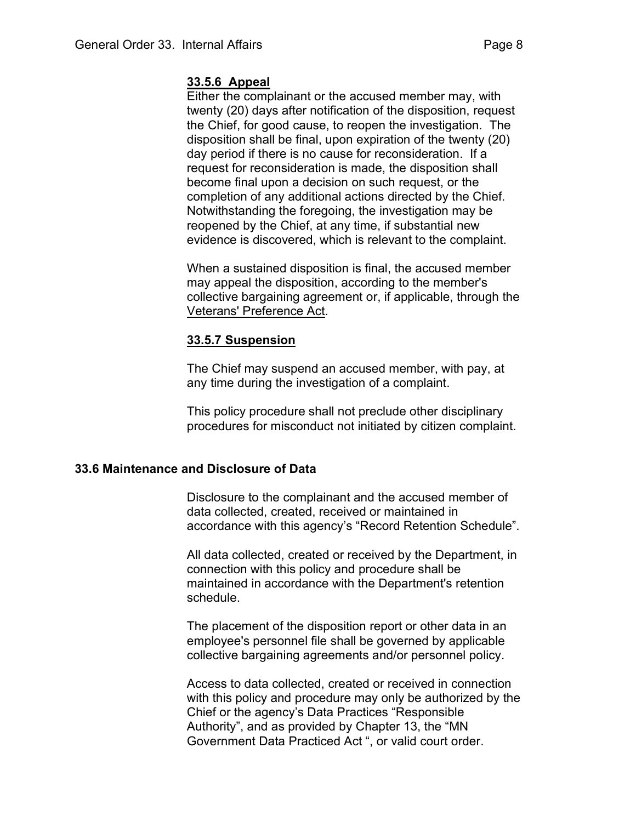## 33.5.6 Appeal

Either the complainant or the accused member may, with twenty (20) days after notification of the disposition, request the Chief, for good cause, to reopen the investigation. The disposition shall be final, upon expiration of the twenty (20) day period if there is no cause for reconsideration. If a request for reconsideration is made, the disposition shall become final upon a decision on such request, or the completion of any additional actions directed by the Chief. Notwithstanding the foregoing, the investigation may be reopened by the Chief, at any time, if substantial new evidence is discovered, which is relevant to the complaint.

 When a sustained disposition is final, the accused member may appeal the disposition, according to the member's collective bargaining agreement or, if applicable, through the Veterans' Preference Act.

## 33.5.7 Suspension

 The Chief may suspend an accused member, with pay, at any time during the investigation of a complaint.

 This policy procedure shall not preclude other disciplinary procedures for misconduct not initiated by citizen complaint.

## 33.6 Maintenance and Disclosure of Data

 Disclosure to the complainant and the accused member of data collected, created, received or maintained in accordance with this agency's "Record Retention Schedule".

 All data collected, created or received by the Department, in connection with this policy and procedure shall be maintained in accordance with the Department's retention schedule.

 The placement of the disposition report or other data in an employee's personnel file shall be governed by applicable collective bargaining agreements and/or personnel policy.

 Access to data collected, created or received in connection with this policy and procedure may only be authorized by the Chief or the agency's Data Practices "Responsible Authority", and as provided by Chapter 13, the "MN Government Data Practiced Act ", or valid court order.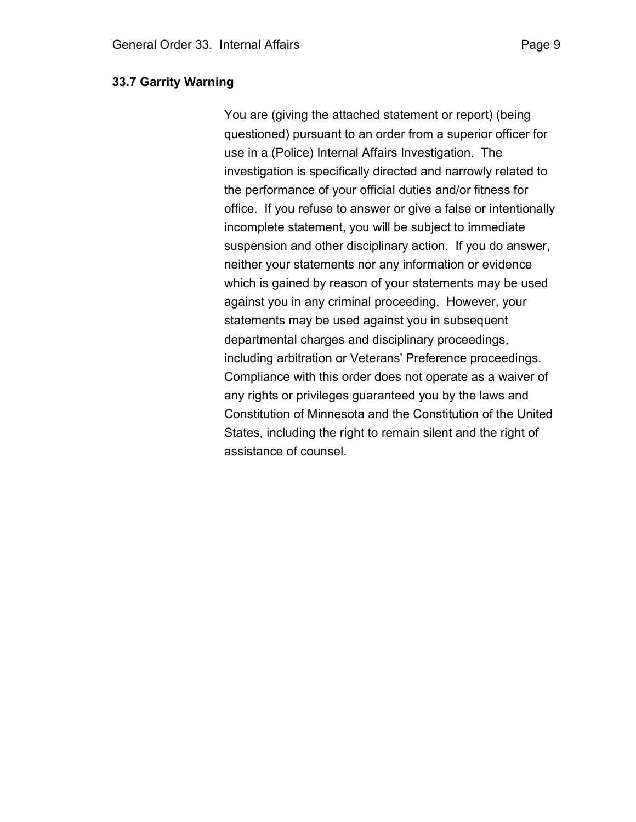You are (giving the attached statement or report) (being questioned) pursuant to an order from a superior officer for use in a (Police) Internal Affairs Investigation. The investigation is specifically directed and narrowly related to the performance of your official duties and/or fitness for office. If you refuse to answer or give a false or intentionally incomplete statement, you will be subject to immediate suspension and other disciplinary action. If you do answer, neither your statements nor any information or evidence which is gained by reason of your statements may be used against you in any criminal proceeding. However, your statements may be used against you in subsequent departmental charges and disciplinary proceedings, including arbitration or Veterans' Preference proceedings. Compliance with this order does not operate as a waiver of any rights or privileges guaranteed you by the laws and Constitution of Minnesota and the Constitution of the United States, including the right to remain silent and the right of assistance of counsel.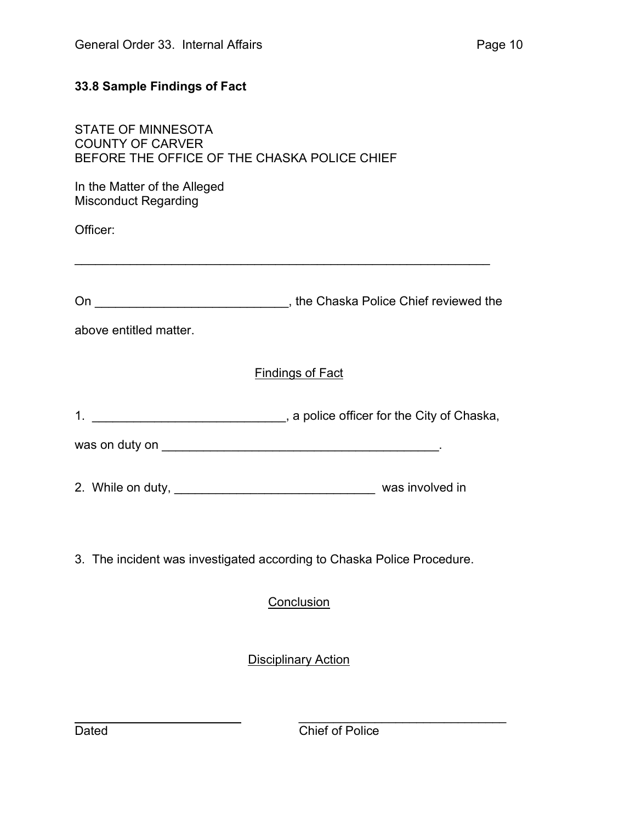# 33.8 Sample Findings of Fact

| STATE OF MINNESOTA                           |
|----------------------------------------------|
| COUNTY OF CARVER                             |
| BEFORE THE OFFICE OF THE CHASKA POLICE CHIEF |

In the Matter of the Alleged Misconduct Regarding

Officer:

| On | the Chaska Police Chief reviewed the |
|----|--------------------------------------|
|    |                                      |

 $\mathcal{L}_\text{max}$  , and the contribution of the contribution of the contribution of the contribution of the contribution of the contribution of the contribution of the contribution of the contribution of the contribution of t

above entitled matter.

# Findings of Fact

1. \_\_\_\_\_\_\_\_\_\_\_\_\_\_\_\_\_\_\_\_\_\_\_\_\_\_\_\_\_\_\_, a police officer for the City of Chaska,

was on duty on \_\_\_\_\_\_\_\_\_\_\_\_\_\_\_\_\_\_\_\_\_\_\_\_\_\_\_\_\_\_\_\_\_\_\_\_\_\_\_\_.

- 2. While on duty, \_\_\_\_\_\_\_\_\_\_\_\_\_\_\_\_\_\_\_\_\_\_\_\_\_\_\_\_\_ was involved in
- 3. The incident was investigated according to Chaska Police Procedure.

**Conclusion** 

**Disciplinary Action** 

 $\overline{\phantom{a}}$  , and the contract of the contract of the contract of the contract of the contract of the contract of the contract of the contract of the contract of the contract of the contract of the contract of the contrac